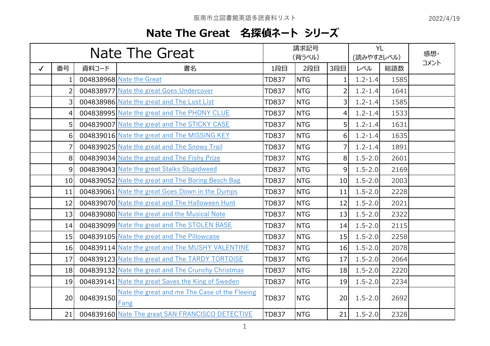## **Nate The Great 名探偵ネート シリーズ**

| Nate The Great |                |           |                                                       | 請求記号<br>(背ラベル) |            |                | <b>YL</b><br>(読みやすさレベル) |      | 感想·  |
|----------------|----------------|-----------|-------------------------------------------------------|----------------|------------|----------------|-------------------------|------|------|
| $\checkmark$   | 番号             | 資料コード     | 書名                                                    | 1段目            | 2段目        | 3段目            | レベル                     | 総語数  | コメント |
|                | 1.             |           | 004838968 Nate the Great                              | <b>TD837</b>   | <b>NTG</b> | 1              | $1.2 - 1.4$             | 1585 |      |
|                | $\overline{2}$ |           | 004838977 Nate the great Goes Undercover              | <b>TD837</b>   | <b>NTG</b> | 2              | $1.2 - 1.4$             | 1641 |      |
|                | 3              |           | 004838986 Nate the great and The Lost List            | <b>TD837</b>   | <b>NTG</b> | 3              | $1.2 - 1.4$             | 1585 |      |
|                | 4              |           | 004838995 Nate the great and The PHONY CLUE           | <b>TD837</b>   | <b>NTG</b> | 4              | $1.2 - 1.4$             | 1533 |      |
|                | 5              |           | 004839007 Nate the great and The STICKY CASE          | <b>TD837</b>   | <b>NTG</b> | 5              | $1.2 - 1.4$             | 1631 |      |
|                | 6              |           | 004839016 Nate the great and The MISSING KEY          | <b>TD837</b>   | <b>NTG</b> | 6              | $1.2 - 1.4$             | 1635 |      |
|                |                |           | 004839025 Nate the great and The Snowy Trail          | <b>TD837</b>   | <b>NTG</b> | $\overline{7}$ | $1.2 - 1.4$             | 1891 |      |
|                | 8              |           | 004839034 Nate the great and The Fishy Prize          | <b>TD837</b>   | <b>NTG</b> | 8              | $1.5 - 2.0$             | 2601 |      |
|                | 9              |           | 004839043 Nate the great Stalks Stupidweed            | <b>TD837</b>   | <b>NTG</b> | 9              | $1.5 - 2.0$             | 2169 |      |
|                | 10             |           | 004839052 Nate the great and The Boring Besch Bag     | <b>TD837</b>   | <b>NTG</b> | 10             | $1.5 - 2.0$             | 2003 |      |
|                | 11             |           | 004839061 Nate the great Goes Down in the Dumps       | <b>TD837</b>   | <b>NTG</b> | 11             | $1.5 - 2.0$             | 2228 |      |
|                | 12             |           | 004839070 Nate the great and The Halloween Hunt       | <b>TD837</b>   | <b>NTG</b> | 12             | $1.5 - 2.0$             | 2021 |      |
|                | 13             |           | 004839080 Nate the great and the Musical Note         | <b>TD837</b>   | <b>NTG</b> | 13             | $1.5 - 2.0$             | 2322 |      |
|                | 14             |           | 004839099 Nate the great and The STOLEN BASE          | <b>TD837</b>   | <b>NTG</b> | 14             | $1.5 - 2.0$             | 2115 |      |
|                | 15             |           | 004839105 Nate the great and The Pillowcase           | <b>TD837</b>   | <b>NTG</b> | 15             | $1.5 - 2.0$             | 2258 |      |
|                | 16             |           | 004839114 Nate the great and The MUSHY VALENTINE      | <b>TD837</b>   | <b>NTG</b> | 16             | $1.5 - 2.0$             | 2078 |      |
|                | 17             |           | 004839123 Nate the great and The TARDY TORTOISE       | <b>TD837</b>   | <b>NTG</b> | 17             | $1.5 - 2.0$             | 2064 |      |
|                | 18             |           | 004839132 Nate the great and The Crunchy Christmas    | <b>TD837</b>   | <b>NTG</b> | 18             | $1.5 - 2.0$             | 2220 |      |
|                | 19             |           | 004839141 Nate the great Saves the King of Sweden     | <b>TD837</b>   | <b>NTG</b> | 19             | $1.5 - 2.0$             | 2234 |      |
|                | 20             | 004839150 | Nate the great and me The Case of the Fleeing<br>Fang | <b>TD837</b>   | <b>NTG</b> | 20             | $1.5 - 2.0$             | 2692 |      |
|                | 21             |           | 004839160 Nate The great SAN FRANCISCO DETECTIVE      | <b>TD837</b>   | <b>NTG</b> | 21             | $1.5 - 2.0$             | 2328 |      |